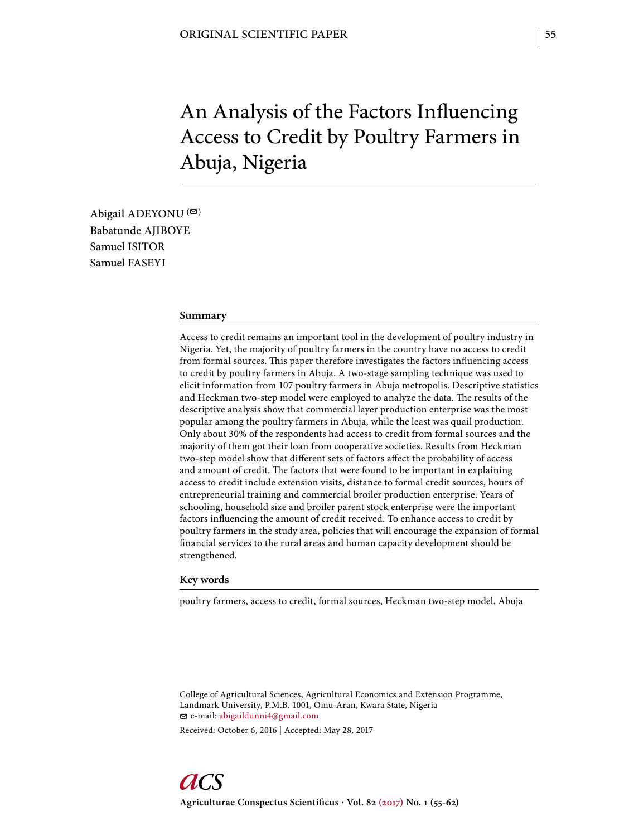# An Analysis of the Factors Influencing Access to Credit by Poultry Farmers in Abuja, Nigeria

Abigail ADEYONU  $($ <sup> $\odot$ </sup>) Babatunde AJIBOYE Samuel ISITOR Samuel FASEYI

#### **Summary**

Access to credit remains an important tool in the development of poultry industry in Nigeria. Yet, the majority of poultry farmers in the country have no access to credit from formal sources. This paper therefore investigates the factors influencing access to credit by poultry farmers in Abuja. A two-stage sampling technique was used to elicit information from 107 poultry farmers in Abuja metropolis. Descriptive statistics and Heckman two-step model were employed to analyze the data. The results of the descriptive analysis show that commercial layer production enterprise was the most popular among the poultry farmers in Abuja, while the least was quail production. Only about 30% of the respondents had access to credit from formal sources and the majority of them got their loan from cooperative societies. Results from Heckman two-step model show that different sets of factors affect the probability of access and amount of credit. The factors that were found to be important in explaining access to credit include extension visits, distance to formal credit sources, hours of entrepreneurial training and commercial broiler production enterprise. Years of schooling, household size and broiler parent stock enterprise were the important factors influencing the amount of credit received. To enhance access to credit by poultry farmers in the study area, policies that will encourage the expansion of formal financial services to the rural areas and human capacity development should be strengthened.

#### **Key words**

poultry farmers, access to credit, formal sources, Heckman two-step model, Abuja

College of Agricultural Sciences, Agricultural Economics and Extension Programme, Landmark University, P.M.B. 1001, Omu-Aran, Kwara State, Nigeria e-mail: abigaildunni4@gmail.com

Received: October 6, 2016 | Accepted: May 28, 2017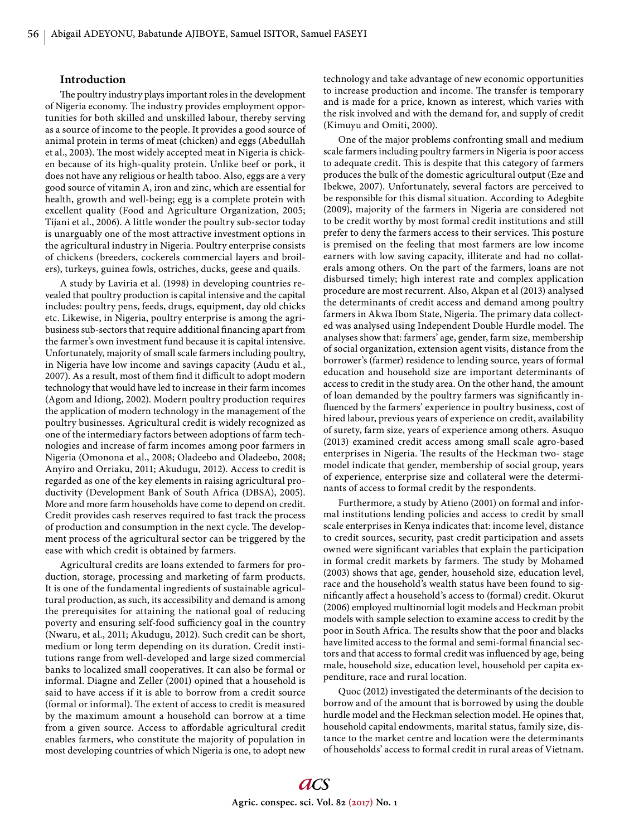## **Introduction**

The poultry industry plays important roles in the development of Nigeria economy. The industry provides employment opportunities for both skilled and unskilled labour, thereby serving as a source of income to the people. It provides a good source of animal protein in terms of meat (chicken) and eggs (Abedullah et al., 2003). The most widely accepted meat in Nigeria is chicken because of its high-quality protein. Unlike beef or pork, it does not have any religious or health taboo. Also, eggs are a very good source of vitamin A, iron and zinc, which are essential for health, growth and well-being; egg is a complete protein with excellent quality (Food and Agriculture Organization, 2005; Tijani et al., 2006). A little wonder the poultry sub-sector today is unarguably one of the most attractive investment options in the agricultural industry in Nigeria. Poultry enterprise consists of chickens (breeders, cockerels commercial layers and broilers), turkeys, guinea fowls, ostriches, ducks, geese and quails.

A study by Laviria et al. (1998) in developing countries revealed that poultry production is capital intensive and the capital includes: poultry pens, feeds, drugs, equipment, day old chicks etc. Likewise, in Nigeria, poultry enterprise is among the agribusiness sub-sectors that require additional financing apart from the farmer's own investment fund because it is capital intensive. Unfortunately, majority of small scale farmers including poultry, in Nigeria have low income and savings capacity (Audu et al., 2007). As a result, most of them find it difficult to adopt modern technology that would have led to increase in their farm incomes (Agom and Idiong, 2002)*.* Modern poultry production requires the application of modern technology in the management of the poultry businesses. Agricultural credit is widely recognized as one of the intermediary factors between adoptions of farm technologies and increase of farm incomes among poor farmers in Nigeria (Omonona et al., 2008; Oladeebo and Oladeebo, 2008; Anyiro and Orriaku, 2011; Akudugu, 2012). Access to credit is regarded as one of the key elements in raising agricultural productivity (Development Bank of South Africa (DBSA), 2005). More and more farm households have come to depend on credit. Credit provides cash reserves required to fast track the process of production and consumption in the next cycle. The development process of the agricultural sector can be triggered by the ease with which credit is obtained by farmers.

Agricultural credits are loans extended to farmers for production, storage, processing and marketing of farm products. It is one of the fundamental ingredients of sustainable agricultural production, as such, its accessibility and demand is among the prerequisites for attaining the national goal of reducing poverty and ensuring self-food sufficiency goal in the country (Nwaru, et al., 2011; Akudugu, 2012). Such credit can be short, medium or long term depending on its duration. Credit institutions range from well-developed and large sized commercial banks to localized small cooperatives. It can also be formal or informal. Diagne and Zeller (2001) opined that a household is said to have access if it is able to borrow from a credit source (formal or informal). The extent of access to credit is measured by the maximum amount a household can borrow at a time from a given source. Access to affordable agricultural credit enables farmers, who constitute the majority of population in most developing countries of which Nigeria is one, to adopt new technology and take advantage of new economic opportunities to increase production and income. The transfer is temporary and is made for a price, known as interest, which varies with the risk involved and with the demand for, and supply of credit (Kimuyu and Omiti, 2000).

One of the major problems confronting small and medium scale farmers including poultry farmers in Nigeria is poor access to adequate credit. This is despite that this category of farmers produces the bulk of the domestic agricultural output (Eze and Ibekwe, 2007). Unfortunately, several factors are perceived to be responsible for this dismal situation. According to Adegbite (2009), majority of the farmers in Nigeria are considered not to be credit worthy by most formal credit institutions and still prefer to deny the farmers access to their services. This posture is premised on the feeling that most farmers are low income earners with low saving capacity, illiterate and had no collaterals among others. On the part of the farmers, loans are not disbursed timely; high interest rate and complex application procedure are most recurrent. Also, Akpan et al (2013) analysed the determinants of credit access and demand among poultry farmers in Akwa Ibom State, Nigeria. The primary data collected was analysed using Independent Double Hurdle model. The analyses show that: farmers' age, gender, farm size, membership of social organization, extension agent visits, distance from the borrower's (farmer) residence to lending source, years of formal education and household size are important determinants of access to credit in the study area. On the other hand, the amount of loan demanded by the poultry farmers was significantly influenced by the farmers' experience in poultry business, cost of hired labour, previous years of experience on credit, availability of surety, farm size, years of experience among others. Asuquo (2013) examined credit access among small scale agro-based enterprises in Nigeria. The results of the Heckman two-stage model indicate that gender, membership of social group, years of experience, enterprise size and collateral were the determinants of access to formal credit by the respondents.

Furthermore, a study by Atieno (2001) on formal and informal institutions lending policies and access to credit by small scale enterprises in Kenya indicates that: income level, distance to credit sources, security, past credit participation and assets owned were significant variables that explain the participation in formal credit markets by farmers. The study by Mohamed (2003) shows that age, gender, household size, education level, race and the household's wealth status have been found to significantly affect a household's access to (formal) credit. Okurut (2006) employed multinomial logit models and Heckman probit models with sample selection to examine access to credit by the poor in South Africa. The results show that the poor and blacks have limited access to the formal and semi-formal financial sectors and that access to formal credit was influenced by age, being male, household size, education level, household per capita expenditure, race and rural location.

Quoc (2012) investigated the determinants of the decision to borrow and of the amount that is borrowed by using the double hurdle model and the Heckman selection model. He opines that, household capital endowments, marital status, family size, distance to the market centre and location were the determinants of households' access to formal credit in rural areas of Vietnam.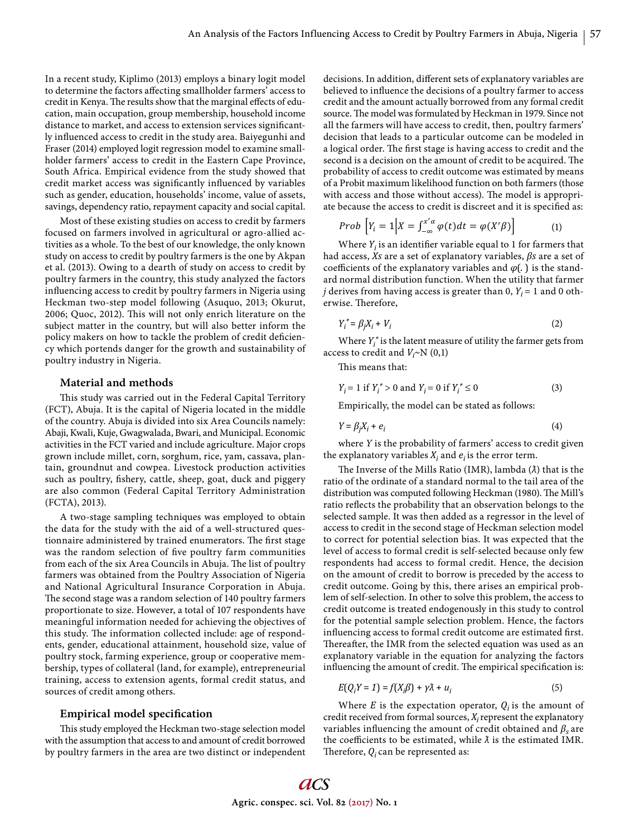In a recent study, Kiplimo (2013) employs a binary logit model to determine the factors affecting smallholder farmers' access to credit in Kenya. The results show that the marginal effects of education, main occupation, group membership, household income distance to market, and access to extension services significantly influenced access to credit in the study area. Baiyegunhi and Fraser (2014) employed logit regression model to examine smallholder farmers' access to credit in the Eastern Cape Province, South Africa. Empirical evidence from the study showed that credit market access was significantly influenced by variables such as gender, education, households' income, value of assets, savings, dependency ratio, repayment capacity and social capital.

Most of these existing studies on access to credit by farmers focused on farmers involved in agricultural or agro-allied activities as a whole. To the best of our knowledge, the only known study on access to credit by poultry farmers is the one by Akpan et al. (2013). Owing to a dearth of study on access to credit by poultry farmers in the country, this study analyzed the factors influencing access to credit by poultry farmers in Nigeria using Heckman two-step model following (Asuquo, 2013; Okurut, 2006; Quoc, 2012). This will not only enrich literature on the subject matter in the country, but will also better inform the policy makers on how to tackle the problem of credit deficiency which portends danger for the growth and sustainability of poultry industry in Nigeria.

## **Material and methods**

This study was carried out in the Federal Capital Territory (FCT), Abuja. It is the capital of Nigeria located in the middle of the country. Abuja is divided into six Area Councils namely: Abaji, Kwali, Kuje, Gwagwalada, Bwari, and Municipal. Economic activities in the FCT varied and include agriculture. Major crops grown include millet, corn, sorghum, rice, yam, cassava, plantain, groundnut and cowpea. Livestock production activities such as poultry, fishery, cattle, sheep, goat, duck and piggery are also common (Federal Capital Territory Administration (FCTA), 2013).

A two-stage sampling techniques was employed to obtain the data for the study with the aid of a well-structured questionnaire administered by trained enumerators. The first stage was the random selection of five poultry farm communities from each of the six Area Councils in Abuja. The list of poultry farmers was obtained from the Poultry Association of Nigeria and National Agricultural Insurance Corporation in Abuja. The second stage was a random selection of 140 poultry farmers proportionate to size. However, a total of 107 respondents have meaningful information needed for achieving the objectives of this study. The information collected include: age of respondents, gender, educational attainment, household size, value of poultry stock, farming experience, group or cooperative membership, types of collateral (land, for example), entrepreneurial training, access to extension agents, formal credit status, and sources of credit among others.

## **Empirical model specification**

This study employed the Heckman two-stage selection model with the assumption that access to and amount of credit borrowed by poultry farmers in the area are two distinct or independent decisions. In addition, different sets of explanatory variables are believed to influence the decisions of a poultry farmer to access credit and the amount actually borrowed from any formal credit source. The model was formulated by Heckman in 1979. Since not all the farmers will have access to credit, then, poultry farmers' decision that leads to a particular outcome can be modeled in a logical order. The first stage is having access to credit and the second is a decision on the amount of credit to be acquired. The probability of access to credit outcome was estimated by means of a Probit maximum likelihood function on both farmers (those with access and those without access). The model is appropriate because the access to credit is discreet and it is specified as:

*Prob* 
$$
\left[ Y_i = 1 \middle| X = \int_{-\infty}^{x'\alpha} \varphi(t) dt = \varphi(X'\beta) \right]
$$
 (1)

Where  $Y_i$  is an identifier variable equal to 1 for farmers that had access, *Xs* are a set of explanatory variables, *βs* are a set of coefficients of the explanatory variables and  $\varphi$ . ) is the standard normal distribution function. When the utility that farmer *j* derives from having access is greater than 0,  $Y_i = 1$  and 0 otherwise. Therefore,

$$
Y_i^* = \beta_j X_i + V_i \tag{2}
$$

Where  $Y_i^*$  is the latent measure of utility the farmer gets from access to credit and  $V_i \sim N(0,1)$ 

This means that:

$$
Y_i = 1 \text{ if } Y_i^* > 0 \text{ and } Y_i = 0 \text{ if } Y_i^* \le 0 \tag{3}
$$

Empirically, the model can be stated as follows:

$$
Y = \beta_j X_i + e_i \tag{4}
$$

where *Y* is the probability of farmers' access to credit given the explanatory variables  $X_i$  and  $e_i$  is the error term.

The Inverse of the Mills Ratio (IMR), lambda ( $λ$ ) that is the ratio of the ordinate of a standard normal to the tail area of the distribution was computed following Heckman (1980). The Mill's ratio reflects the probability that an observation belongs to the selected sample. It was then added as a regressor in the level of access to credit in the second stage of Heckman selection model to correct for potential selection bias. It was expected that the level of access to formal credit is self-selected because only few respondents had access to formal credit. Hence, the decision on the amount of credit to borrow is preceded by the access to credit outcome. Going by this, there arises an empirical problem of self-selection. In other to solve this problem, the access to credit outcome is treated endogenously in this study to control for the potential sample selection problem. Hence, the factors influencing access to formal credit outcome are estimated first. Thereafter, the IMR from the selected equation was used as an explanatory variable in the equation for analyzing the factors influencing the amount of credit. The empirical specification is:

$$
E(Q_i Y = 1) = f(X_i \beta) + \gamma \lambda + u_i \tag{5}
$$

Where *E* is the expectation operator,  $Q_i$  is the amount of credit received from formal sources,  $X_i$  represent the explanatory variables influencing the amount of credit obtained and  $\beta_s$  are the coefficients to be estimated, while  $\lambda$  is the estimated IMR. Therefore,  $Q_i$  can be represented as: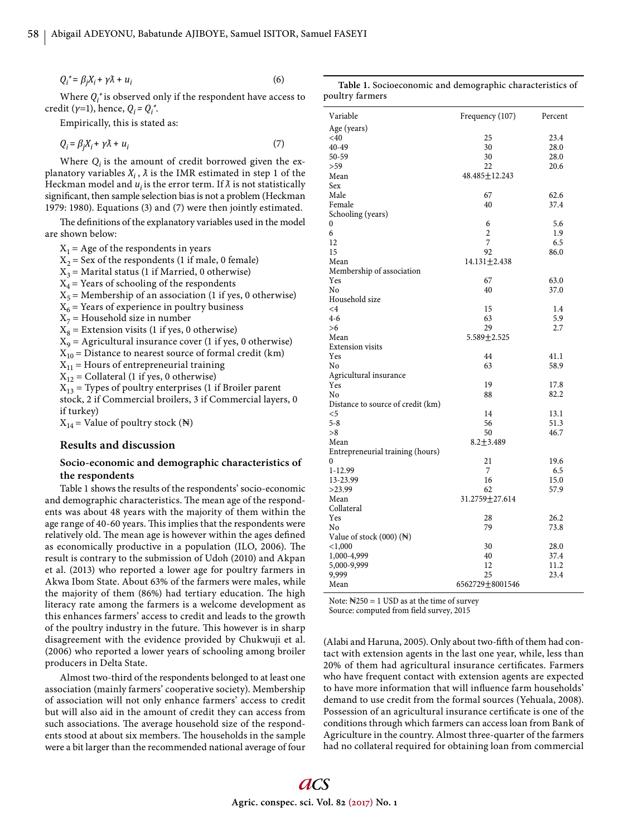$Q_i^* = \beta_j X_i + \gamma \tilde{\lambda} + u_i$  $(6)$ 

$$
^{5)}
$$

Where  $Q_i^*$  is observed only if the respondent have access to credit (*γ*=1), hence, *Qi = Qi \**.

Empirically, this is stated as:

$$
Q_i = \beta_j X_i + \gamma \tilde{\lambda} + u_i \tag{7}
$$

Where  $Q_i$  is the amount of credit borrowed given the explanatory variables  $X_i$ ,  $\lambda$  is the IMR estimated in step 1 of the Heckman model and  $u_i$  is the error term. If  $\lambda$  is not statistically significant, then sample selection bias is not a problem (Heckman 1979: 1980). Equations (3) and (7) were then jointly estimated.

The definitions of the explanatory variables used in the model are shown below:

 $X_1$  = Age of the respondents in years  $X_2$  = Sex of the respondents (1 if male, 0 female)  $X_3$  = Marital status (1 if Married, 0 otherwise)  $X_4$  = Years of schooling of the respondents

 $X_5$  = Membership of an association (1 if yes, 0 otherwise)

 $X_6$  = Years of experience in poultry business

 $X_7$  = Household size in number

 $X_8$  = Extension visits (1 if yes, 0 otherwise)

 $X_9$  = Agricultural insurance cover (1 if yes, 0 otherwise)

 $X_{10}$  = Distance to nearest source of formal credit (km)

 $X_{11}$  = Hours of entrepreneurial training

 $X_{12}$  = Collateral (1 if yes, 0 otherwise)

 $X_{13}$  = Types of poultry enterprises (1 if Broiler parent stock, 2 if Commercial broilers, 3 if Commercial layers, 0 if turkey)

 $X_{14}$  = Value of poultry stock (N)

### **Results and discussion**

## **Socio-economic and demographic characteristics of the respondents**

Table 1 shows the results of the respondents' socio-economic and demographic characteristics. The mean age of the respondents was about 48 years with the majority of them within the age range of 40-60 years. This implies that the respondents were relatively old. The mean age is however within the ages defined as economically productive in a population (ILO, 2006). The result is contrary to the submission of Udoh (2010) and Akpan et al. (2013) who reported a lower age for poultry farmers in Akwa Ibom State. About 63% of the farmers were males, while the majority of them (86%) had tertiary education. The high literacy rate among the farmers is a welcome development as this enhances farmers' access to credit and leads to the growth of the poultry industry in the future. This however is in sharp disagreement with the evidence provided by Chukwuji et al. (2006) who reported a lower years of schooling among broiler producers in Delta State.

Almost two-third of the respondents belonged to at least one association (mainly farmers' cooperative society). Membership of association will not only enhance farmers' access to credit but will also aid in the amount of credit they can access from such associations. The average household size of the respondents stood at about six members. The households in the sample were a bit larger than the recommended national average of four

**Table 1.** Socioeconomic and demographic characteristics of poultry farmers

| Variable<br>Frequency (107)<br>Percent<br>Age (years)<br>$<$ 40<br>25<br>23.4<br>40-49<br>30<br>28.0<br>50-59<br>30<br>28.0<br>22<br>>59<br>20.6<br>Mean<br>48.485±12.243<br>Sex<br>Male<br>67<br>62.6<br>Female<br>40<br>37.4<br>Schooling (years)<br>5.6<br>0<br>6<br>$\overline{c}$<br>6<br>1.9<br>7<br>12<br>6.5<br>15<br>92<br>86.0<br>$14.131 + 2.438$<br>Mean<br>Membership of association<br>Yes<br>67<br>63.0<br>N <sub>0</sub><br>40<br>37.0<br>Household size<br>15<br>$\leq 4$<br>1.4<br>$4-6$<br>63<br>5.9<br>>6<br>29<br>2.7<br>Mean<br>5.589±2.525<br><b>Extension visits</b><br>Yes<br>41.1<br>44<br>N <sub>0</sub><br>63<br>58.9<br>Agricultural insurance<br>Yes<br>19<br>17.8<br>No<br>88<br>82.2<br>Distance to source of credit (km)<br>$<$ 5<br>14<br>13.1<br>$5 - 8$<br>56<br>51.3<br>50<br>> 8<br>46.7<br>Mean<br>$8.2 + 3.489$<br>Entrepreneurial training (hours)<br>21<br>19.6<br>0<br>$1 - 12.99$<br>7<br>6.5<br>13-23.99<br>16<br>15.0<br>>23.99<br>62<br>57.9<br>Mean<br>31.2759±27.614<br>Collateral<br>Yes<br>26.2<br>28<br>No<br>79<br>73.8<br>Value of stock $(000)$ ( $\mathbb{N}$ )<br>< 1,000<br>30<br>28.0<br>1,000-4,999<br>40<br>37.4<br>5,000-9,999<br>12<br>11.2<br>25<br>9,999<br>23.4<br>6562729 + 8001546<br>Mean |  |  |
|----------------------------------------------------------------------------------------------------------------------------------------------------------------------------------------------------------------------------------------------------------------------------------------------------------------------------------------------------------------------------------------------------------------------------------------------------------------------------------------------------------------------------------------------------------------------------------------------------------------------------------------------------------------------------------------------------------------------------------------------------------------------------------------------------------------------------------------------------------------------------------------------------------------------------------------------------------------------------------------------------------------------------------------------------------------------------------------------------------------------------------------------------------------------------------------------------------------------------------------------------------------|--|--|
|                                                                                                                                                                                                                                                                                                                                                                                                                                                                                                                                                                                                                                                                                                                                                                                                                                                                                                                                                                                                                                                                                                                                                                                                                                                                |  |  |
|                                                                                                                                                                                                                                                                                                                                                                                                                                                                                                                                                                                                                                                                                                                                                                                                                                                                                                                                                                                                                                                                                                                                                                                                                                                                |  |  |
|                                                                                                                                                                                                                                                                                                                                                                                                                                                                                                                                                                                                                                                                                                                                                                                                                                                                                                                                                                                                                                                                                                                                                                                                                                                                |  |  |
|                                                                                                                                                                                                                                                                                                                                                                                                                                                                                                                                                                                                                                                                                                                                                                                                                                                                                                                                                                                                                                                                                                                                                                                                                                                                |  |  |
|                                                                                                                                                                                                                                                                                                                                                                                                                                                                                                                                                                                                                                                                                                                                                                                                                                                                                                                                                                                                                                                                                                                                                                                                                                                                |  |  |
|                                                                                                                                                                                                                                                                                                                                                                                                                                                                                                                                                                                                                                                                                                                                                                                                                                                                                                                                                                                                                                                                                                                                                                                                                                                                |  |  |
|                                                                                                                                                                                                                                                                                                                                                                                                                                                                                                                                                                                                                                                                                                                                                                                                                                                                                                                                                                                                                                                                                                                                                                                                                                                                |  |  |
|                                                                                                                                                                                                                                                                                                                                                                                                                                                                                                                                                                                                                                                                                                                                                                                                                                                                                                                                                                                                                                                                                                                                                                                                                                                                |  |  |
|                                                                                                                                                                                                                                                                                                                                                                                                                                                                                                                                                                                                                                                                                                                                                                                                                                                                                                                                                                                                                                                                                                                                                                                                                                                                |  |  |
|                                                                                                                                                                                                                                                                                                                                                                                                                                                                                                                                                                                                                                                                                                                                                                                                                                                                                                                                                                                                                                                                                                                                                                                                                                                                |  |  |
|                                                                                                                                                                                                                                                                                                                                                                                                                                                                                                                                                                                                                                                                                                                                                                                                                                                                                                                                                                                                                                                                                                                                                                                                                                                                |  |  |
|                                                                                                                                                                                                                                                                                                                                                                                                                                                                                                                                                                                                                                                                                                                                                                                                                                                                                                                                                                                                                                                                                                                                                                                                                                                                |  |  |
|                                                                                                                                                                                                                                                                                                                                                                                                                                                                                                                                                                                                                                                                                                                                                                                                                                                                                                                                                                                                                                                                                                                                                                                                                                                                |  |  |
|                                                                                                                                                                                                                                                                                                                                                                                                                                                                                                                                                                                                                                                                                                                                                                                                                                                                                                                                                                                                                                                                                                                                                                                                                                                                |  |  |
|                                                                                                                                                                                                                                                                                                                                                                                                                                                                                                                                                                                                                                                                                                                                                                                                                                                                                                                                                                                                                                                                                                                                                                                                                                                                |  |  |
|                                                                                                                                                                                                                                                                                                                                                                                                                                                                                                                                                                                                                                                                                                                                                                                                                                                                                                                                                                                                                                                                                                                                                                                                                                                                |  |  |
|                                                                                                                                                                                                                                                                                                                                                                                                                                                                                                                                                                                                                                                                                                                                                                                                                                                                                                                                                                                                                                                                                                                                                                                                                                                                |  |  |
|                                                                                                                                                                                                                                                                                                                                                                                                                                                                                                                                                                                                                                                                                                                                                                                                                                                                                                                                                                                                                                                                                                                                                                                                                                                                |  |  |
|                                                                                                                                                                                                                                                                                                                                                                                                                                                                                                                                                                                                                                                                                                                                                                                                                                                                                                                                                                                                                                                                                                                                                                                                                                                                |  |  |
|                                                                                                                                                                                                                                                                                                                                                                                                                                                                                                                                                                                                                                                                                                                                                                                                                                                                                                                                                                                                                                                                                                                                                                                                                                                                |  |  |
|                                                                                                                                                                                                                                                                                                                                                                                                                                                                                                                                                                                                                                                                                                                                                                                                                                                                                                                                                                                                                                                                                                                                                                                                                                                                |  |  |
|                                                                                                                                                                                                                                                                                                                                                                                                                                                                                                                                                                                                                                                                                                                                                                                                                                                                                                                                                                                                                                                                                                                                                                                                                                                                |  |  |
|                                                                                                                                                                                                                                                                                                                                                                                                                                                                                                                                                                                                                                                                                                                                                                                                                                                                                                                                                                                                                                                                                                                                                                                                                                                                |  |  |
|                                                                                                                                                                                                                                                                                                                                                                                                                                                                                                                                                                                                                                                                                                                                                                                                                                                                                                                                                                                                                                                                                                                                                                                                                                                                |  |  |
|                                                                                                                                                                                                                                                                                                                                                                                                                                                                                                                                                                                                                                                                                                                                                                                                                                                                                                                                                                                                                                                                                                                                                                                                                                                                |  |  |
|                                                                                                                                                                                                                                                                                                                                                                                                                                                                                                                                                                                                                                                                                                                                                                                                                                                                                                                                                                                                                                                                                                                                                                                                                                                                |  |  |
|                                                                                                                                                                                                                                                                                                                                                                                                                                                                                                                                                                                                                                                                                                                                                                                                                                                                                                                                                                                                                                                                                                                                                                                                                                                                |  |  |
|                                                                                                                                                                                                                                                                                                                                                                                                                                                                                                                                                                                                                                                                                                                                                                                                                                                                                                                                                                                                                                                                                                                                                                                                                                                                |  |  |
|                                                                                                                                                                                                                                                                                                                                                                                                                                                                                                                                                                                                                                                                                                                                                                                                                                                                                                                                                                                                                                                                                                                                                                                                                                                                |  |  |
|                                                                                                                                                                                                                                                                                                                                                                                                                                                                                                                                                                                                                                                                                                                                                                                                                                                                                                                                                                                                                                                                                                                                                                                                                                                                |  |  |
|                                                                                                                                                                                                                                                                                                                                                                                                                                                                                                                                                                                                                                                                                                                                                                                                                                                                                                                                                                                                                                                                                                                                                                                                                                                                |  |  |
|                                                                                                                                                                                                                                                                                                                                                                                                                                                                                                                                                                                                                                                                                                                                                                                                                                                                                                                                                                                                                                                                                                                                                                                                                                                                |  |  |
|                                                                                                                                                                                                                                                                                                                                                                                                                                                                                                                                                                                                                                                                                                                                                                                                                                                                                                                                                                                                                                                                                                                                                                                                                                                                |  |  |
|                                                                                                                                                                                                                                                                                                                                                                                                                                                                                                                                                                                                                                                                                                                                                                                                                                                                                                                                                                                                                                                                                                                                                                                                                                                                |  |  |
|                                                                                                                                                                                                                                                                                                                                                                                                                                                                                                                                                                                                                                                                                                                                                                                                                                                                                                                                                                                                                                                                                                                                                                                                                                                                |  |  |
|                                                                                                                                                                                                                                                                                                                                                                                                                                                                                                                                                                                                                                                                                                                                                                                                                                                                                                                                                                                                                                                                                                                                                                                                                                                                |  |  |
|                                                                                                                                                                                                                                                                                                                                                                                                                                                                                                                                                                                                                                                                                                                                                                                                                                                                                                                                                                                                                                                                                                                                                                                                                                                                |  |  |
|                                                                                                                                                                                                                                                                                                                                                                                                                                                                                                                                                                                                                                                                                                                                                                                                                                                                                                                                                                                                                                                                                                                                                                                                                                                                |  |  |
|                                                                                                                                                                                                                                                                                                                                                                                                                                                                                                                                                                                                                                                                                                                                                                                                                                                                                                                                                                                                                                                                                                                                                                                                                                                                |  |  |
|                                                                                                                                                                                                                                                                                                                                                                                                                                                                                                                                                                                                                                                                                                                                                                                                                                                                                                                                                                                                                                                                                                                                                                                                                                                                |  |  |
|                                                                                                                                                                                                                                                                                                                                                                                                                                                                                                                                                                                                                                                                                                                                                                                                                                                                                                                                                                                                                                                                                                                                                                                                                                                                |  |  |
|                                                                                                                                                                                                                                                                                                                                                                                                                                                                                                                                                                                                                                                                                                                                                                                                                                                                                                                                                                                                                                                                                                                                                                                                                                                                |  |  |
|                                                                                                                                                                                                                                                                                                                                                                                                                                                                                                                                                                                                                                                                                                                                                                                                                                                                                                                                                                                                                                                                                                                                                                                                                                                                |  |  |
|                                                                                                                                                                                                                                                                                                                                                                                                                                                                                                                                                                                                                                                                                                                                                                                                                                                                                                                                                                                                                                                                                                                                                                                                                                                                |  |  |
|                                                                                                                                                                                                                                                                                                                                                                                                                                                                                                                                                                                                                                                                                                                                                                                                                                                                                                                                                                                                                                                                                                                                                                                                                                                                |  |  |
|                                                                                                                                                                                                                                                                                                                                                                                                                                                                                                                                                                                                                                                                                                                                                                                                                                                                                                                                                                                                                                                                                                                                                                                                                                                                |  |  |
|                                                                                                                                                                                                                                                                                                                                                                                                                                                                                                                                                                                                                                                                                                                                                                                                                                                                                                                                                                                                                                                                                                                                                                                                                                                                |  |  |
|                                                                                                                                                                                                                                                                                                                                                                                                                                                                                                                                                                                                                                                                                                                                                                                                                                                                                                                                                                                                                                                                                                                                                                                                                                                                |  |  |
|                                                                                                                                                                                                                                                                                                                                                                                                                                                                                                                                                                                                                                                                                                                                                                                                                                                                                                                                                                                                                                                                                                                                                                                                                                                                |  |  |
|                                                                                                                                                                                                                                                                                                                                                                                                                                                                                                                                                                                                                                                                                                                                                                                                                                                                                                                                                                                                                                                                                                                                                                                                                                                                |  |  |
|                                                                                                                                                                                                                                                                                                                                                                                                                                                                                                                                                                                                                                                                                                                                                                                                                                                                                                                                                                                                                                                                                                                                                                                                                                                                |  |  |

Note:  $\mathbb{N}250 = 1$  USD as at the time of survey

Source: computed from field survey, 2015

(Alabi and Haruna, 2005). Only about two-fifth of them had contact with extension agents in the last one year, while, less than 20% of them had agricultural insurance certificates. Farmers who have frequent contact with extension agents are expected to have more information that will influence farm households' demand to use credit from the formal sources (Yehuala, 2008). Possession of an agricultural insurance certificate is one of the conditions through which farmers can access loan from Bank of Agriculture in the country. Almost three-quarter of the farmers had no collateral required for obtaining loan from commercial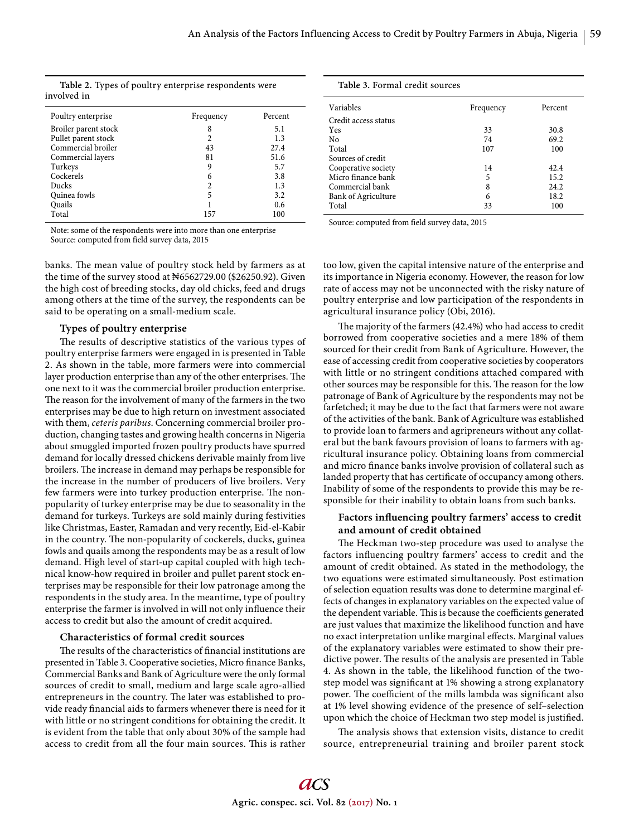**Table 2.** Types of poultry enterprise respondents were involved in

| Poultry enterprise   | Frequency | Percent |
|----------------------|-----------|---------|
| Broiler parent stock | 8         | 5.1     |
| Pullet parent stock  | 2         | 1.3     |
| Commercial broiler   | 43        | 27.4    |
| Commercial layers    | 81        | 51.6    |
| Turkeys              | 9         | 5.7     |
| Cockerels            | 6         | 3.8     |
| <b>Ducks</b>         | 2         | 1.3     |
| Quinea fowls         | 5         | 3.2     |
| Quails               |           | 0.6     |
| Total                | 157       | 100     |

Note: some of the respondents were into more than one enterprise Source: computed from field survey data, 2015

banks. The mean value of poultry stock held by farmers as at the time of the survey stood at N6562729.00 (\$26250.92). Given the high cost of breeding stocks, day old chicks, feed and drugs among others at the time of the survey, the respondents can be said to be operating on a small-medium scale.

## **Types of poultry enterprise**

The results of descriptive statistics of the various types of poultry enterprise farmers were engaged in is presented in Table 2. As shown in the table, more farmers were into commercial layer production enterprise than any of the other enterprises. The one next to it was the commercial broiler production enterprise. The reason for the involvement of many of the farmers in the two enterprises may be due to high return on investment associated with them, *ceteris paribus*. Concerning commercial broiler production, changing tastes and growing health concerns in Nigeria about smuggled imported frozen poultry products have spurred demand for locally dressed chickens derivable mainly from live broilers. The increase in demand may perhaps be responsible for the increase in the number of producers of live broilers. Very few farmers were into turkey production enterprise. The nonpopularity of turkey enterprise may be due to seasonality in the demand for turkeys. Turkeys are sold mainly during festivities like Christmas, Easter, Ramadan and very recently, Eid-el-Kabir in the country. The non-popularity of cockerels, ducks, guinea fowls and quails among the respondents may be as a result of low demand. High level of start-up capital coupled with high technical know-how required in broiler and pullet parent stock enterprises may be responsible for their low patronage among the respondents in the study area. In the meantime, type of poultry enterprise the farmer is involved in will not only influence their access to credit but also the amount of credit acquired.

## **Characteristics of formal credit sources**

The results of the characteristics of financial institutions are presented in Table 3. Cooperative societies, Micro finance Banks, Commercial Banks and Bank of Agriculture were the only formal sources of credit to small, medium and large scale agro-allied entrepreneurs in the country. The later was established to provide ready financial aids to farmers whenever there is need for it with little or no stringent conditions for obtaining the credit. It is evident from the table that only about 30% of the sample had access to credit from all the four main sources. This is rather

| Table 3. Formal credit sources |           |         |
|--------------------------------|-----------|---------|
| Variables                      | Frequency | Percent |
| Credit access status           |           |         |
| Yes                            | 33        | 30.8    |
| N <sub>0</sub>                 | 74        | 69.2    |
| Total                          | 107       | 100     |
| Sources of credit              |           |         |
| Cooperative society            | 14        | 42.4    |
| Micro finance bank             | 5         | 15.2    |
| Commercial bank                | 8         | 24.2    |
| Bank of Agriculture            | 6         | 18.2    |
| Total                          | 33        | 100     |

Source: computed from field survey data, 2015

too low, given the capital intensive nature of the enterprise and its importance in Nigeria economy. However, the reason for low rate of access may not be unconnected with the risky nature of poultry enterprise and low participation of the respondents in agricultural insurance policy (Obi, 2016).

The majority of the farmers (42.4%) who had access to credit borrowed from cooperative societies and a mere 18% of them sourced for their credit from Bank of Agriculture. However, the ease of accessing credit from cooperative societies by cooperators with little or no stringent conditions attached compared with other sources may be responsible for this. The reason for the low patronage of Bank of Agriculture by the respondents may not be farfetched; it may be due to the fact that farmers were not aware of the activities of the bank. Bank of Agriculture was established to provide loan to farmers and agripreneurs without any collateral but the bank favours provision of loans to farmers with agricultural insurance policy. Obtaining loans from commercial and micro finance banks involve provision of collateral such as landed property that has certificate of occupancy among others. Inability of some of the respondents to provide this may be responsible for their inability to obtain loans from such banks.

## Factors influencing poultry farmers' access to credit **and amount of credit obtained**

The Heckman two-step procedure was used to analyse the factors influencing poultry farmers' access to credit and the amount of credit obtained. As stated in the methodology, the two equations were estimated simultaneously. Post estimation of selection equation results was done to determine marginal effects of changes in explanatory variables on the expected value of the dependent variable. This is because the coefficients generated are just values that maximize the likelihood function and have no exact interpretation unlike marginal effects. Marginal values of the explanatory variables were estimated to show their predictive power. The results of the analysis are presented in Table 4. As shown in the table, the likelihood function of the twostep model was significant at 1% showing a strong explanatory power. The coefficient of the mills lambda was significant also at 1% level showing evidence of the presence of self–selection upon which the choice of Heckman two step model is justified.

The analysis shows that extension visits, distance to credit source, entrepreneurial training and broiler parent stock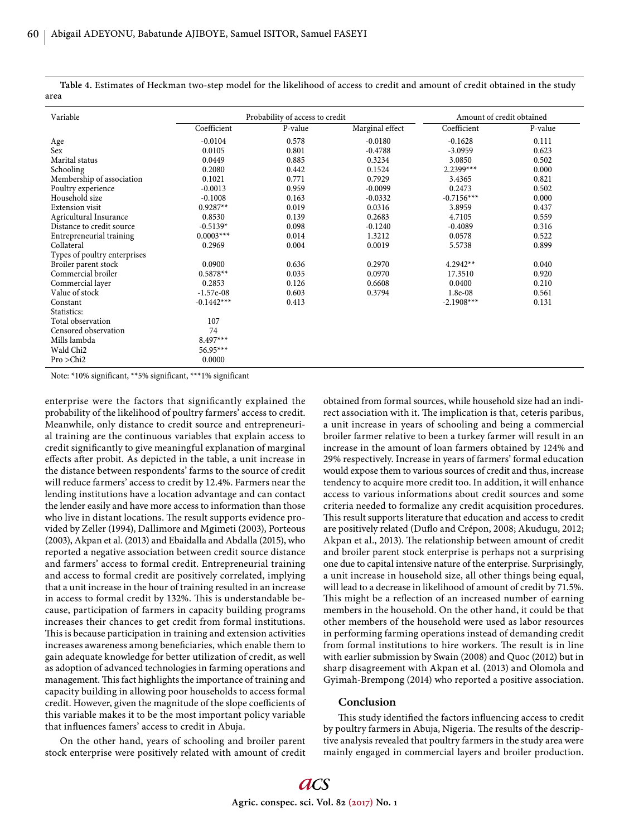**Table 4.** Estimates of Heckman two-step model for the likelihood of access to credit and amount of credit obtained in the study area

| Variable                     | Probability of access to credit |         |                 | Amount of credit obtained |         |
|------------------------------|---------------------------------|---------|-----------------|---------------------------|---------|
|                              | Coefficient                     | P-value | Marginal effect | Coefficient               | P-value |
| Age                          | $-0.0104$                       | 0.578   | $-0.0180$       | $-0.1628$                 | 0.111   |
| Sex                          | 0.0105                          | 0.801   | $-0.4788$       | $-3.0959$                 | 0.623   |
| Marital status               | 0.0449                          | 0.885   | 0.3234          | 3.0850                    | 0.502   |
| Schooling                    | 0.2080                          | 0.442   | 0.1524          | $2.2399***$               | 0.000   |
| Membership of association    | 0.1021                          | 0.771   | 0.7929          | 3.4365                    | 0.821   |
| Poultry experience           | $-0.0013$                       | 0.959   | $-0.0099$       | 0.2473                    | 0.502   |
| Household size               | $-0.1008$                       | 0.163   | $-0.0332$       | $-0.7156***$              | 0.000   |
| <b>Extension visit</b>       | $0.9287**$                      | 0.019   | 0.0316          | 3.8959                    | 0.437   |
| Agricultural Insurance       | 0.8530                          | 0.139   | 0.2683          | 4.7105                    | 0.559   |
| Distance to credit source    | $-0.5139*$                      | 0.098   | $-0.1240$       | $-0.4089$                 | 0.316   |
| Entrepreneurial training     | $0.0003***$                     | 0.014   | 1.3212          | 0.0578                    | 0.522   |
| Collateral                   | 0.2969                          | 0.004   | 0.0019          | 5.5738                    | 0.899   |
| Types of poultry enterprises |                                 |         |                 |                           |         |
| Broiler parent stock         | 0.0900                          | 0.636   | 0.2970          | $4.2942**$                | 0.040   |
| Commercial broiler           | $0.5878**$                      | 0.035   | 0.0970          | 17.3510                   | 0.920   |
| Commercial layer             | 0.2853                          | 0.126   | 0.6608          | 0.0400                    | 0.210   |
| Value of stock               | $-1.57e-08$                     | 0.603   | 0.3794          | 1.8e-08                   | 0.561   |
| Constant                     | $-0.1442***$                    | 0.413   |                 | $-2.1908***$              | 0.131   |
| Statistics:                  |                                 |         |                 |                           |         |
| Total observation            | 107                             |         |                 |                           |         |
| Censored observation         | 74                              |         |                 |                           |         |
| Mills lambda                 | $8.497***$                      |         |                 |                           |         |
| Wald Chi <sub>2</sub>        | $56.95***$                      |         |                 |                           |         |
| Pro > Chi2                   | 0.0000                          |         |                 |                           |         |

Note: \*10% significant, \*\*5% significant, \*\*\*1% significant

enterprise were the factors that significantly explained the probability of the likelihood of poultry farmers' access to credit. Meanwhile, only distance to credit source and entrepreneurial training are the continuous variables that explain access to credit significantly to give meaningful explanation of marginal effects after probit. As depicted in the table, a unit increase in the distance between respondents' farms to the source of credit will reduce farmers' access to credit by 12.4%. Farmers near the lending institutions have a location advantage and can contact the lender easily and have more access to information than those who live in distant locations. The result supports evidence provided by Zeller (1994), Dallimore and Mgimeti (2003), Porteous (2003), Akpan et al. (2013) and Ebaidalla and Abdalla (2015), who reported a negative association between credit source distance and farmers' access to formal credit. Entrepreneurial training and access to formal credit are positively correlated, implying that a unit increase in the hour of training resulted in an increase in access to formal credit by 132%. This is understandable because, participation of farmers in capacity building programs increases their chances to get credit from formal institutions. This is because participation in training and extension activities increases awareness among beneficiaries, which enable them to gain adequate knowledge for better utilization of credit, as well as adoption of advanced technologies in farming operations and management. This fact highlights the importance of training and capacity building in allowing poor households to access formal credit. However, given the magnitude of the slope coefficients of this variable makes it to be the most important policy variable that influences famers' access to credit in Abuja.

On the other hand, years of schooling and broiler parent stock enterprise were positively related with amount of credit obtained from formal sources, while household size had an indirect association with it. The implication is that, ceteris paribus, a unit increase in years of schooling and being a commercial broiler farmer relative to been a turkey farmer will result in an increase in the amount of loan farmers obtained by 124% and 29% respectively. Increase in years of farmers' formal education would expose them to various sources of credit and thus, increase tendency to acquire more credit too. In addition, it will enhance access to various informations about credit sources and some criteria needed to formalize any credit acquisition procedures. This result supports literature that education and access to credit are positively related (Duflo and Crépon, 2008; Akudugu, 2012; Akpan et al., 2013). The relationship between amount of credit and broiler parent stock enterprise is perhaps not a surprising one due to capital intensive nature of the enterprise. Surprisingly, a unit increase in household size, all other things being equal, will lead to a decrease in likelihood of amount of credit by 71.5%. This might be a reflection of an increased number of earning members in the household. On the other hand, it could be that other members of the household were used as labor resources in performing farming operations instead of demanding credit from formal institutions to hire workers. The result is in line with earlier submission by Swain (2008) and Quoc (2012) but in sharp disagreement with Akpan et al. (2013) and Olomola and Gyimah-Brempong (2014) who reported a positive association.

## **Conclusion**

This study identified the factors influencing access to credit by poultry farmers in Abuja, Nigeria. The results of the descriptive analysis revealed that poultry farmers in the study area were mainly engaged in commercial layers and broiler production.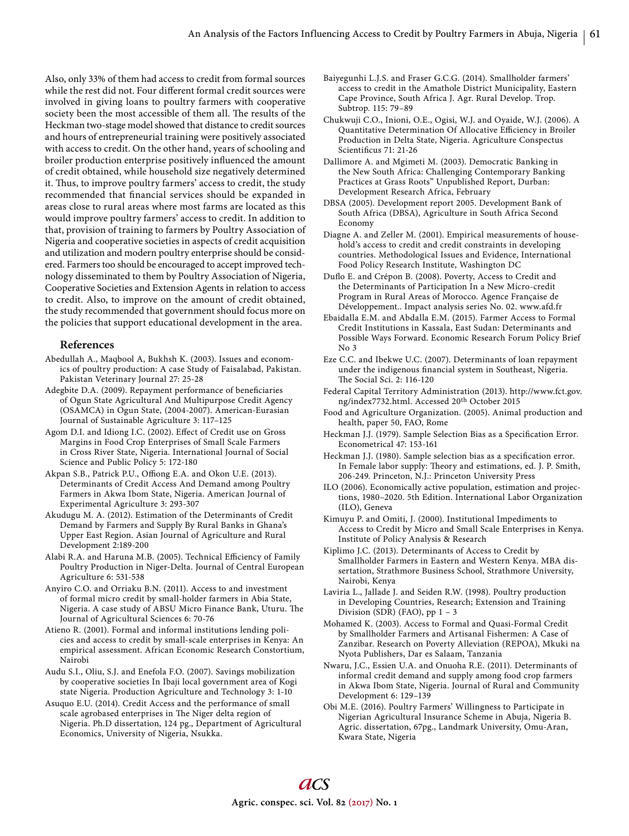Also, only 33% of them had access to credit from formal sources while the rest did not. Four different formal credit sources were involved in giving loans to poultry farmers with cooperative society been the most accessible of them all. The results of the Heckman two-stage model showed that distance to credit sources and hours of entrepreneurial training were positively associated with access to credit. On the other hand, years of schooling and broiler production enterprise positively influenced the amount of credit obtained, while household size negatively determined it. Thus, to improve poultry farmers' access to credit, the study recommended that financial services should be expanded in areas close to rural areas where most farms are located as this would improve poultry farmers' access to credit. In addition to that, provision of training to farmers by Poultry Association of Nigeria and cooperative societies in aspects of credit acquisition and utilization and modern poultry enterprise should be considered. Farmers too should be encouraged to accept improved technology disseminated to them by Poultry Association of Nigeria, Cooperative Societies and Extension Agents in relation to access to credit. Also, to improve on the amount of credit obtained, the study recommended that government should focus more on the policies that support educational development in the area.

## **References**

- Abedullah A., Maqbool A, Bukhsh K. (2003). Issues and economics of poultry production: A case Study of Faisalabad, Pakistan. Pakistan Veterinary Journal 27: 25-28
- Adegbite D.A. (2009). Repayment performance of beneficiaries of Ogun State Agricultural And Multipurpose Credit Agency (OSAMCA) in Ogun State*,* (2004-2007). American-Eurasian Journal of Sustainable Agriculture 3: 117–125
- Agom D.I. and Idiong I.C. (2002). Effect of Credit use on Gross Margins in Food Crop Enterprises of Small Scale Farmers in Cross River State, Nigeria. International Journal of Social Science and Public Policy 5: 172-180
- Akpan S.B., Patrick P.U., Offiong E.A. and Okon U.E. (2013). Determinants of Credit Access And Demand among Poultry Farmers in Akwa Ibom State, Nigeria. American Journal of Experimental Agriculture 3: 293-307
- Akudugu M. A. (2012). Estimation of the Determinants of Credit Demand by Farmers and Supply By Rural Banks in Ghana's Upper East Region. Asian Journal of Agriculture and Rural Development 2:189-200
- Alabi R.A. and Haruna M.B. (2005). Technical Efficiency of Family Poultry Production in Niger-Delta. Journal of Central European Agriculture 6: 531-538
- Anyiro C.O. and Orriaku B.N. (2011). Access to and investment of formal micro credit by small-holder farmers in Abia State, Nigeria. A case study of ABSU Micro Finance Bank, Uturu. The Journal of Agricultural Sciences 6: 70-76
- Atieno R. (2001). Formal and informal institutions lending policies and access to credit by small-scale enterprises in Kenya: An empirical assessment. African Economic Research Constortium, Nairobi
- Audu S.I., Oliu, S.J. and Enefola F.O. (2007). Savings mobilization by cooperative societies In Ibaji local government area of Kogi state Nigeria. Production Agriculture and Technology 3: 1-10
- Asuquo E.U. (2014). Credit Access and the performance of small scale agrobased enterprises in The Niger delta region of Nigeria. Ph.D dissertation, 124 pg., Department of Agricultural Economics, University of Nigeria, Nsukka.
- Baiyegunhi L.J.S. and Fraser G.C.G. (2014). Smallholder farmers' access to credit in the Amathole District Municipality, Eastern Cape Province, South Africa J. Agr. Rural Develop. Trop. Subtrop. 115: 79–89
- Chukwuji C.O., Inioni, O.E., Ogisi, W.J. and Oyaide, W.J. (2006). A Quantitative Determination Of Allocative Efficiency in Broiler Production in Delta State, Nigeria. Agriculture Conspectus Scientificus 71: 21-26
- Dallimore A. and Mgimeti M. (2003). Democratic Banking in the New South Africa: Challenging Contemporary Banking Practices at Grass Roots" Unpublished Report, Durban: Development Research Africa, February
- DBSA (2005). Development report 2005. Development Bank of South Africa (DBSA), Agriculture in South Africa Second Economy
- Diagne A. and Zeller M. (2001). Empirical measurements of household's access to credit and credit constraints in developing countries. Methodological Issues and Evidence, International Food Policy Research Institute, Washington DC
- Duflo E. and Crépon B. (2008). Poverty, Access to Credit and the Determinants of Participation In a New Micro-credit Program in Rural Areas of Morocco. Agence Française de Développement.. Impact analysis series No. 02. www.afd.fr
- Ebaidalla E.M. and Abdalla E.M. (2015). Farmer Access to Formal Credit Institutions in Kassala, East Sudan: Determinants and Possible Ways Forward. Economic Research Forum Policy Brief No 3
- Eze C.C. and Ibekwe U.C. (2007). Determinants of loan repayment under the indigenous financial system in Southeast, Nigeria. The Social Sci. 2: 116-120
- Federal Capital Territory Administration (2013). http://www.fct.gov. ng/index7732.html. Accessed 20th October 2015
- Food and Agriculture Organization. (2005). Animal production and health, paper 50, FAO, Rome
- Heckman J.J. (1979). Sample Selection Bias as a Specification Error. Econometrical 47: 153-161
- Heckman J.J. (1980). Sample selection bias as a specification error. In Female labor supply: Theory and estimations, ed. J. P. Smith, 206-249. Princeton, N.J.: Princeton University Press
- ILO (2006). Economically active population, estimation and projections, 1980–2020. 5th Edition. International Labor Organization (ILO), Geneva
- Kimuyu P. and Omiti, J. (2000). Institutional Impediments to Access to Credit by Micro and Small Scale Enterprises in Kenya. Institute of Policy Analysis & Research
- Kiplimo J.C. (2013). Determinants of Access to Credit by Smallholder Farmers in Eastern and Western Kenya. MBA dissertation, Strathmore Business School, Strathmore University, Nairobi, Kenya
- Laviria L., Jallade J. and Seiden R.W. (1998). Poultry production in Developing Countries, Research; Extension and Training Division (SDR) (FAO), pp 1 – 3

Mohamed K. (2003). Access to Formal and Quasi-Formal Credit by Smallholder Farmers and Artisanal Fishermen: A Case of Zanzibar. Research on Poverty Alleviation (REPOA), Mkuki na Nyota Publishers, Dar es Salaam, Tanzania

- Nwaru, J.C., Essien U.A. and Onuoha R.E. (2011). Determinants of informal credit demand and supply among food crop farmers in Akwa Ibom State, Nigeria. Journal of Rural and Community Development 6: 129–139
- Obi M.E. (2016). Poultry Farmers' Willingness to Participate in Nigerian Agricultural Insurance Scheme in Abuja, Nigeria B. Agric. dissertation, 67pg., Landmark University, Omu-Aran, Kwara State, Nigeria